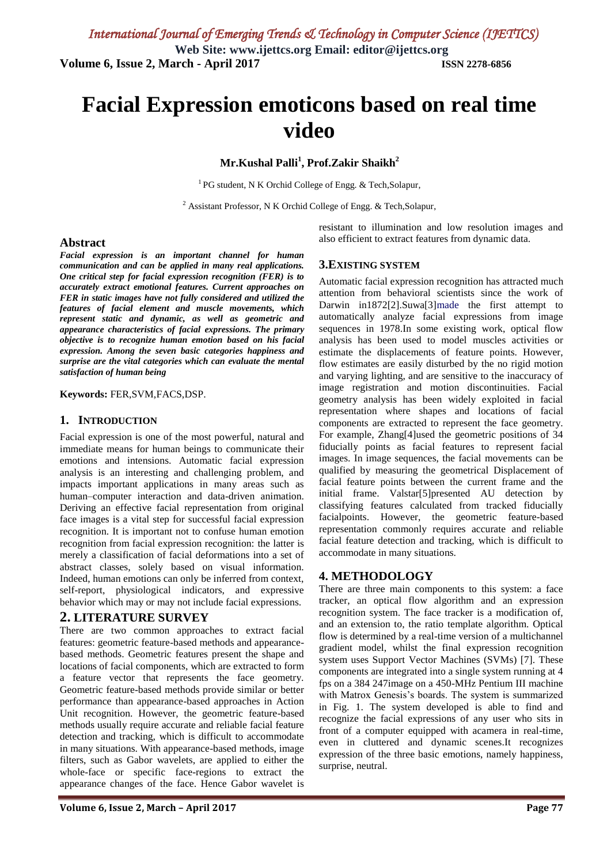# **Facial Expression emoticons based on real time video**

### **Mr.Kushal Palli<sup>1</sup> , Prof.Zakir Shaikh<sup>2</sup>**

<sup>1</sup> PG student, N K Orchid College of Engg. & Tech, Solapur,

<sup>2</sup> Assistant Professor, N K Orchid College of Engg. & Tech,Solapur,

#### **Abstract**

*Facial expression is an important channel for human communication and can be applied in many real applications. One critical step for facial expression recognition (FER) is to accurately extract emotional features. Current approaches on FER in static images have not fully considered and utilized the features of facial element and muscle movements, which represent static and dynamic, as well as geometric and appearance characteristics of facial expressions. The primary objective is to recognize human emotion based on his facial expression. Among the seven basic categories happiness and surprise are the vital categories which can evaluate the mental satisfaction of human being*

**Keywords:** FER,SVM,FACS,DSP.

#### **1. INTRODUCTION**

Facial expression is one of the most powerful, natural and immediate means for human beings to communicate their emotions and intensions. Automatic facial expression analysis is an interesting and challenging problem, and impacts important applications in many areas such as human–computer interaction and data-driven animation. Deriving an effective facial representation from original face images is a vital step for successful facial expression recognition. It is important not to confuse human emotion recognition from facial expression recognition: the latter is merely a classification of facial deformations into a set of abstract classes, solely based on visual information. Indeed, human emotions can only be inferred from context, self-report, physiological indicators, and expressive behavior which may or may not include facial expressions.

### **2. LITERATURE SURVEY**

There are two common approaches to extract facial features: geometric feature-based methods and appearancebased methods. Geometric features present the shape and locations of facial components, which are extracted to form a feature vector that represents the face geometry. Geometric feature-based methods provide similar or better performance than appearance-based approaches in Action Unit recognition. However, the geometric feature-based methods usually require accurate and reliable facial feature detection and tracking, which is difficult to accommodate in many situations. With appearance-based methods, image filters, such as Gabor wavelets, are applied to either the whole-face or specific face-regions to extract the appearance changes of the face. Hence Gabor wavelet is

resistant to illumination and low resolution images and also efficient to extract features from dynamic data.

#### **3.EXISTING SYSTEM**

Automatic facial expression recognition has attracted much attention from behavioral scientists since the work of Darwin in1872[2].Suwa[3]made the first attempt to automatically analyze facial expressions from image sequences in 1978.In some existing work, optical flow analysis has been used to model muscles activities or estimate the displacements of feature points. However, flow estimates are easily disturbed by the no rigid motion and varying lighting, and are sensitive to the inaccuracy of image registration and motion discontinuities. Facial geometry analysis has been widely exploited in facial representation where shapes and locations of facial components are extracted to represent the face geometry. For example, Zhang[4]used the geometric positions of 34 fiducially points as facial features to represent facial images. In image sequences, the facial movements can be qualified by measuring the geometrical Displacement of facial feature points between the current frame and the initial frame. Valstar[5]presented AU detection by classifying features calculated from tracked fiducially facialpoints. However, the geometric feature-based representation commonly requires accurate and reliable facial feature detection and tracking, which is difficult to accommodate in many situations.

#### **4. METHODOLOGY**

There are three main components to this system: a face tracker, an optical flow algorithm and an expression recognition system. The face tracker is a modification of, and an extension to, the ratio template algorithm. Optical flow is determined by a real-time version of a multichannel gradient model, whilst the final expression recognition system uses Support Vector Machines (SVMs) [7]. These components are integrated into a single system running at 4 fps on a 384 247image on a 450-MHz Pentium III machine with Matrox Genesis's boards. The system is summarized in Fig. 1. The system developed is able to find and recognize the facial expressions of any user who sits in front of a computer equipped with acamera in real-time, even in cluttered and dynamic scenes.It recognizes expression of the three basic emotions, namely happiness, surprise, neutral.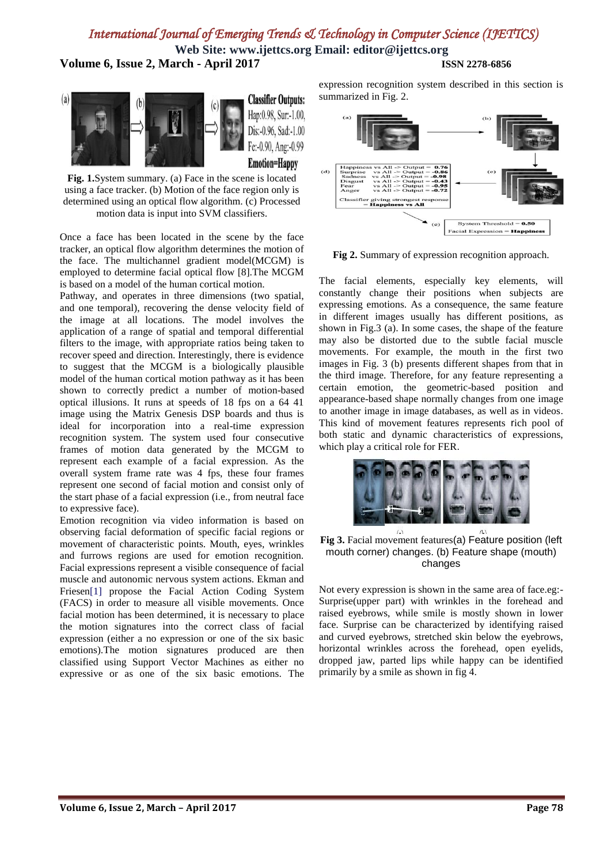## *International Journal of Emerging Trends & Technology in Computer Science (IJETTCS)*

**Web Site: www.ijettcs.org Email: editor@ijettcs.org Volume 6, Issue 2, March - April 2017 ISSN 2278-6856**



**Fig. 1.**System summary. (a) Face in the scene is located using a face tracker. (b) Motion of the face region only is determined using an optical flow algorithm. (c) Processed motion data is input into SVM classifiers.

Once a face has been located in the scene by the face tracker, an optical flow algorithm determines the motion of the face. The multichannel gradient model(MCGM) is employed to determine facial optical flow [8].The MCGM is based on a model of the human cortical motion.

Pathway, and operates in three dimensions (two spatial, and one temporal), recovering the dense velocity field of the image at all locations. The model involves the application of a range of spatial and temporal differential filters to the image, with appropriate ratios being taken to recover speed and direction. Interestingly, there is evidence to suggest that the MCGM is a biologically plausible model of the human cortical motion pathway as it has been shown to correctly predict a number of motion-based optical illusions. It runs at speeds of 18 fps on a 64 41 image using the Matrix Genesis DSP boards and thus is ideal for incorporation into a real-time expression recognition system. The system used four consecutive frames of motion data generated by the MCGM to represent each example of a facial expression. As the overall system frame rate was 4 fps, these four frames represent one second of facial motion and consist only of the start phase of a facial expression (i.e., from neutral face to expressive face).

Emotion recognition via video information is based on observing facial deformation of specific facial regions or movement of characteristic points. Mouth, eyes, wrinkles and furrows regions are used for emotion recognition. Facial expressions represent a visible consequence of facial muscle and autonomic nervous system actions. Ekman and Friesen[1] propose the Facial Action Coding System (FACS) in order to measure all visible movements. Once facial motion has been determined, it is necessary to place the motion signatures into the correct class of facial expression (either a no expression or one of the six basic emotions).The motion signatures produced are then classified using Support Vector Machines as either no expressive or as one of the six basic emotions. The expression recognition system described in this section is summarized in Fig. 2.



**Fig 2.** Summary of expression recognition approach.

The facial elements, especially key elements, will constantly change their positions when subjects are expressing emotions. As a consequence, the same feature in different images usually has different positions, as shown in Fig.3 (a). In some cases, the shape of the feature may also be distorted due to the subtle facial muscle movements. For example, the mouth in the first two images in Fig. 3 (b) presents different shapes from that in the third image. Therefore, for any feature representing a certain emotion, the geometric-based position and appearance-based shape normally changes from one image to another image in image databases, as well as in videos. This kind of movement features represents rich pool of both static and dynamic characteristics of expressions, which play a critical role for FER.



**Fig 3.** Facial movement features(a) Feature position (left mouth corner) changes. (b) Feature shape (mouth) changes

Not every expression is shown in the same area of face.eg:- Surprise(upper part) with wrinkles in the forehead and raised eyebrows, while smile is mostly shown in lower face. Surprise can be characterized by identifying raised and curved eyebrows, stretched skin below the eyebrows, horizontal wrinkles across the forehead, open eyelids, dropped jaw, parted lips while happy can be identified primarily by a smile as shown in fig 4.